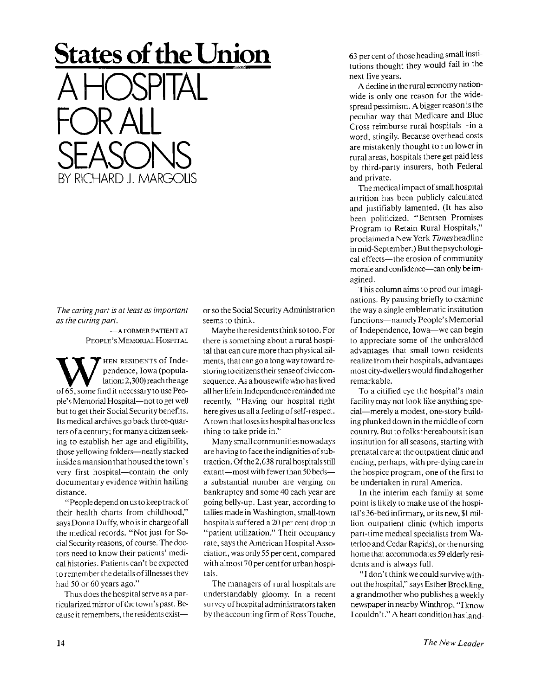## **States of the Union**

**A HOSPITAL FOR ALL SEASONS**  CHARD J. MARGOLIS

*The caring part is at least as important as the curing part.* 

> —A FORMER PATIENT AT PEOPLE'S MEMORIAL HOSPITAL

W HEN RESIDENTS of Inde-<br>pendence, Iowa (popula-<br>of 65, some find it necessary to use Peo-HEN RESIDENTS of Independence, Iowa (populalation: 2,300) reach the age ple's Memorial Hospital—not to get well but to get their Social Security benefits. Its medical archives go back three-quarters of a century; for many a citizen seeking to establish her age and eligibility, those yellowing folders—neatly stacked inside a mansion that housed the town's very first hospital—contain the only documentary evidence within hailing distance.

"People depend on us to keep track of their health charts from childhood," says Donna Duffy, who is in charge of all the medical records. "Not just for Social Security reasons, of course. The doctors need to know their patients' medical histories. Patients can't be expected to remember the details of illnesses they had 50 or 60 years ago."

Thus does the hospital serve as a particularized mirror of thetown'spast. Because it remembers, the residents existor so the Social Security Administration seems to think.

Maybe the residents think so too. For there is something about a rural hospital that can cure more than physical ailments, that can go a long way toward restoring to citizens their sense of civic consequence. As a housewife who has lived all her life in Independence reminded me recently, "Having our hospital right here gives us all a feeling of self-respect. A town that loses its hospital has one less thing to take pride in."

M any small communities nowadays are having to face the indignities of subtraction. Of the2,638 rural hospitals still extant—most with fewer than 50 beds a substantial number are verging on bankruptcy and some 40 each year are going belly-up. Last year, according to tallies made in Washington, small-town hospitals suffered a 20 per cent drop in "patient utilization." Their occupancy rate, says the American Hospital Association, was only 55 per cent, compared with almost 70per cent for urban hospitals.

The managers of rural hospitals are understandably gloomy. In a recent survey of hospital administrators taken by the accounting firm of Ross Touche, 63 per cent of those heading small institutions thought they would fail in the next five years.

A decline in the rural economy nationwide is only one reason for the widespread pessimism. A bigger reason is the peculiar way that Medicare and Blue Cross reimburse rural hospitals—in a word, stingily. Because overhead costs are mistakenly thought to run lower in rural areas, hospitals there get paid less by third-party insurers, both Federal and private.

The medical impact of small hospital attrition has been publicly calculated and justifiably lamented. (It has also been politicized. "Bentsen Promises Program to Retain Rural Hospitals," proclaimed a New York *Times* headline in mid-September.) But the psychological effects—the erosion of community morale and confidence—can only be imagined.

This column aims to prod our imaginations. By pausing briefly to examine the way a single emblematic institution functions—namely People's Memorial of Independence, Iowa—we can begin to appreciate some of the unheralded advantages that small-town residents realize from their hospitals, advantages most city-dwellers would find altogether remarkable.

To a citified eye the hospital's main facility may not look like anything special—merely a modest, one-story building plunked down in the middle of corn country. But to folks thereabouts it is an institution for all seasons, starting with prenatal care at the outpatient clinic and ending, perhaps, with pre-dying care in the hospice program, one of the first to be undertaken in rural America.

In the interim each family at some point is likely to make use of the hospital's 36-bed infirmary, or its new, \$1 million outpatient clinic (which imports part-time medical specialists from Waterloo and Cedar Rapids), or the nursing home that accommodates 59 elderly residents and is always full.

"I don't think wecould survive without the hospital," says Esther Brockling, a grandmother who publishes a weekly newspaper in nearby Winthrop. "I know I couldn't." A heart condition has land